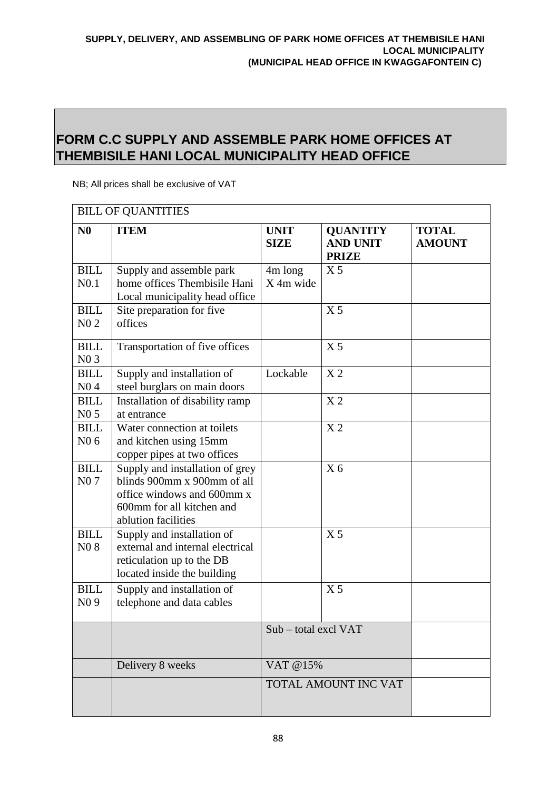## **FORM C.C SUPPLY AND ASSEMBLE PARK HOME OFFICES AT THEMBISILE HANI LOCAL MUNICIPALITY HEAD OFFICE**

NB; All prices shall be exclusive of VAT

| <b>BILL OF QUANTITIES</b>       |                                                                                                                                                  |                            |                                                    |                               |
|---------------------------------|--------------------------------------------------------------------------------------------------------------------------------------------------|----------------------------|----------------------------------------------------|-------------------------------|
| N <sub>0</sub>                  | <b>ITEM</b>                                                                                                                                      | <b>UNIT</b><br><b>SIZE</b> | <b>QUANTITY</b><br><b>AND UNIT</b><br><b>PRIZE</b> | <b>TOTAL</b><br><b>AMOUNT</b> |
| <b>BILL</b><br>N <sub>0.1</sub> | Supply and assemble park<br>home offices Thembisile Hani<br>Local municipality head office                                                       | 4m long<br>X 4m wide       | X <sub>5</sub>                                     |                               |
| <b>BILL</b><br>$N0$ 2           | Site preparation for five<br>offices                                                                                                             |                            | X <sub>5</sub>                                     |                               |
| <b>BILL</b><br>N03              | Transportation of five offices                                                                                                                   |                            | X <sub>5</sub>                                     |                               |
| <b>BILL</b><br>N <sub>0</sub> 4 | Supply and installation of<br>steel burglars on main doors                                                                                       | Lockable                   | X <sub>2</sub>                                     |                               |
| <b>BILL</b><br>N0 <sub>5</sub>  | Installation of disability ramp<br>at entrance                                                                                                   |                            | X <sub>2</sub>                                     |                               |
| <b>BILL</b><br>N0 <sub>6</sub>  | Water connection at toilets<br>and kitchen using 15mm<br>copper pipes at two offices                                                             |                            | $\ge 2$                                            |                               |
| <b>BILL</b><br>N <sub>0</sub> 7 | Supply and installation of grey<br>blinds 900mm x 900mm of all<br>office windows and 600mm x<br>600mm for all kitchen and<br>ablution facilities |                            | X <sub>6</sub>                                     |                               |
| <b>BILL</b><br>N08              | Supply and installation of<br>external and internal electrical<br>reticulation up to the DB<br>located inside the building                       |                            | X <sub>5</sub>                                     |                               |
| <b>BILL</b><br>N <sub>0</sub> 9 | Supply and installation of<br>telephone and data cables                                                                                          |                            | X <sub>5</sub>                                     |                               |
|                                 |                                                                                                                                                  | Sub – total excl VAT       |                                                    |                               |
|                                 | Delivery 8 weeks                                                                                                                                 | VAT @15%                   |                                                    |                               |
|                                 |                                                                                                                                                  | TOTAL AMOUNT INC VAT       |                                                    |                               |